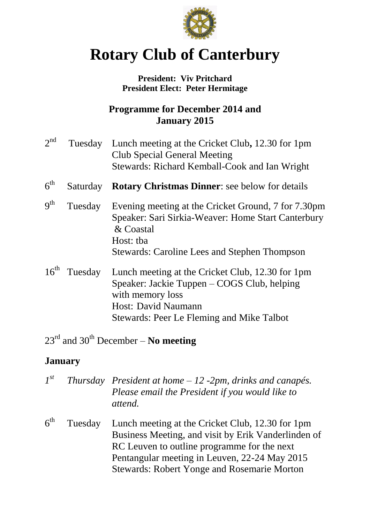

# **Rotary Club of Canterbury**

#### **President: Viv Pritchard President Elect: Peter Hermitage**

# **Programme for December 2014 and January 2015**

- $2^{nd}$ Tuesday Lunch meeting at the Cricket Club, 12.30 for 1pm Club Special General Meeting Stewards: Richard Kemball-Cook and Ian Wright
- $6<sup>th</sup>$ **Saturday Rotary Christmas Dinner**: see below for details
- $q<sup>th</sup>$ Tuesday Evening meeting at the Cricket Ground, 7 for 7.30pm Speaker: Sari Sirkia-Weaver: Home Start Canterbury & Coastal Host: tba Stewards: Caroline Lees and Stephen Thompson
- 16<sup>th</sup> Tuesday Lunch meeting at the Cricket Club, 12.30 for 1pm Speaker: Jackie Tuppen – COGS Club, helping with memory loss Host: David Naumann Stewards: Peer Le Fleming and Mike Talbot

# 23rd and 30th December – **No meeting**

# **January**

| $I^{st}$        |         | Thursday President at home $-12$ -2pm, drinks and canapés.<br>Please email the President if you would like to<br>attend. |
|-----------------|---------|--------------------------------------------------------------------------------------------------------------------------|
| 6 <sup>th</sup> | Tuesday | Lunch meeting at the Cricket Club, 12.30 for 1pm                                                                         |
|                 |         | Business Meeting, and visit by Erik Vanderlinden of                                                                      |
|                 |         | RC Leuven to outline programme for the next                                                                              |
|                 |         | Pentangular meeting in Leuven, 22-24 May 2015                                                                            |
|                 |         | <b>Stewards: Robert Yonge and Rosemarie Morton</b>                                                                       |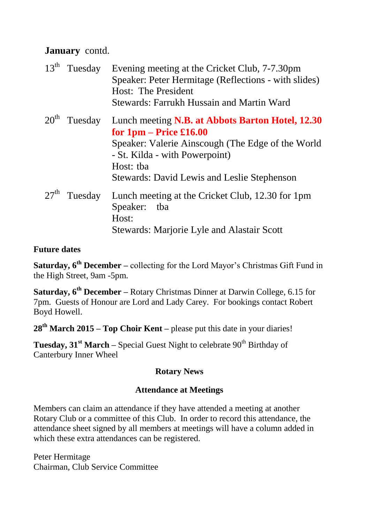## **January** contd.

| $13th$ Tuesday | Evening meeting at the Cricket Club, 7-7.30pm<br>Speaker: Peter Hermitage (Reflections - with slides)<br>Host: The President<br>Stewards: Farrukh Hussain and Martin Ward |
|----------------|---------------------------------------------------------------------------------------------------------------------------------------------------------------------------|
| $20th$ Tuesday | Lunch meeting N.B. at Abbots Barton Hotel, 12.30                                                                                                                          |
|                | for $1pm - Price \pounds16.00$                                                                                                                                            |
|                | Speaker: Valerie Ainscough (The Edge of the World                                                                                                                         |
|                | - St. Kilda - with Powerpoint)                                                                                                                                            |
|                | Host: tba                                                                                                                                                                 |
|                | <b>Stewards: David Lewis and Leslie Stephenson</b>                                                                                                                        |
| $27th$ Tuesday | Lunch meeting at the Cricket Club, 12.30 for 1pm                                                                                                                          |
|                | Speaker: tba                                                                                                                                                              |
|                | Host:                                                                                                                                                                     |
|                | <b>Stewards: Marjorie Lyle and Alastair Scott</b>                                                                                                                         |
|                |                                                                                                                                                                           |

#### **Future dates**

**Saturday, 6th December –** collecting for the Lord Mayor's Christmas Gift Fund in the High Street, 9am -5pm.

**Saturday, 6th December –** Rotary Christmas Dinner at Darwin College, 6.15 for 7pm. Guests of Honour are Lord and Lady Carey. For bookings contact Robert Boyd Howell.

**28th March 2015 – Top Choir Kent –** please put this date in your diaries!

**Tuesday, 31<sup>st</sup> March** – Special Guest Night to celebrate 90<sup>th</sup> Birthday of Canterbury Inner Wheel

#### **Rotary News**

#### **Attendance at Meetings**

Members can claim an attendance if they have attended a meeting at another Rotary Club or a committee of this Club. In order to record this attendance, the attendance sheet signed by all members at meetings will have a column added in which these extra attendances can be registered.

Peter Hermitage Chairman, Club Service Committee